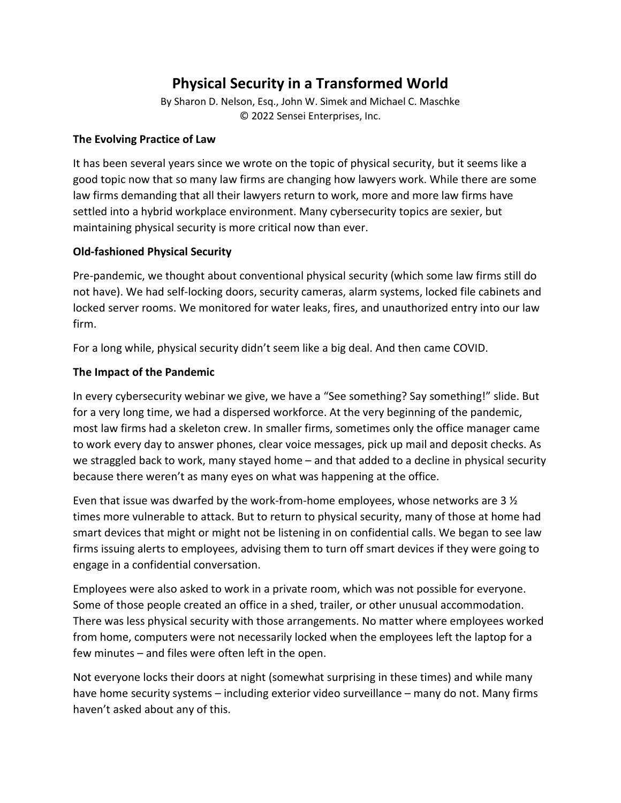# **Physical Security in a Transformed World**

By Sharon D. Nelson, Esq., John W. Simek and Michael C. Maschke © 2022 Sensei Enterprises, Inc.

### **The Evolving Practice of Law**

It has been several years since we wrote on the topic of physical security, but it seems like a good topic now that so many law firms are changing how lawyers work. While there are some law firms demanding that all their lawyers return to work, more and more law firms have settled into a hybrid workplace environment. Many cybersecurity topics are sexier, but maintaining physical security is more critical now than ever.

## **Old-fashioned Physical Security**

Pre-pandemic, we thought about conventional physical security (which some law firms still do not have). We had self-locking doors, security cameras, alarm systems, locked file cabinets and locked server rooms. We monitored for water leaks, fires, and unauthorized entry into our law firm.

For a long while, physical security didn't seem like a big deal. And then came COVID.

#### **The Impact of the Pandemic**

In every cybersecurity webinar we give, we have a "See something? Say something!" slide. But for a very long time, we had a dispersed workforce. At the very beginning of the pandemic, most law firms had a skeleton crew. In smaller firms, sometimes only the office manager came to work every day to answer phones, clear voice messages, pick up mail and deposit checks. As we straggled back to work, many stayed home – and that added to a decline in physical security because there weren't as many eyes on what was happening at the office.

Even that issue was dwarfed by the work-from-home employees, whose networks are 3 ½ times more vulnerable to attack. But to return to physical security, many of those at home had smart devices that might or might not be listening in on confidential calls. We began to see law firms issuing alerts to employees, advising them to turn off smart devices if they were going to engage in a confidential conversation.

Employees were also asked to work in a private room, which was not possible for everyone. Some of those people created an office in a shed, trailer, or other unusual accommodation. There was less physical security with those arrangements. No matter where employees worked from home, computers were not necessarily locked when the employees left the laptop for a few minutes – and files were often left in the open.

Not everyone locks their doors at night (somewhat surprising in these times) and while many have home security systems – including exterior video surveillance – many do not. Many firms haven't asked about any of this.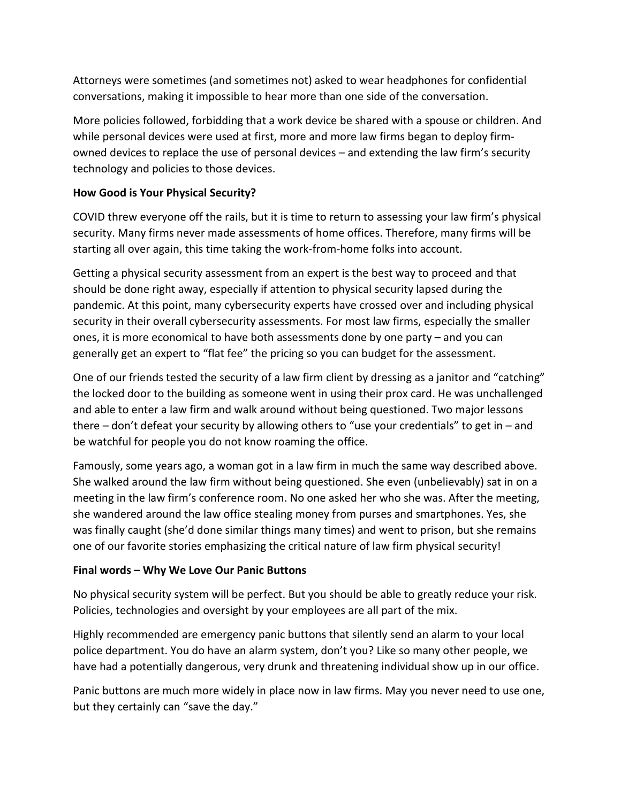Attorneys were sometimes (and sometimes not) asked to wear headphones for confidential conversations, making it impossible to hear more than one side of the conversation.

More policies followed, forbidding that a work device be shared with a spouse or children. And while personal devices were used at first, more and more law firms began to deploy firmowned devices to replace the use of personal devices – and extending the law firm's security technology and policies to those devices.

### **How Good is Your Physical Security?**

COVID threw everyone off the rails, but it is time to return to assessing your law firm's physical security. Many firms never made assessments of home offices. Therefore, many firms will be starting all over again, this time taking the work-from-home folks into account.

Getting a physical security assessment from an expert is the best way to proceed and that should be done right away, especially if attention to physical security lapsed during the pandemic. At this point, many cybersecurity experts have crossed over and including physical security in their overall cybersecurity assessments. For most law firms, especially the smaller ones, it is more economical to have both assessments done by one party – and you can generally get an expert to "flat fee" the pricing so you can budget for the assessment.

One of our friends tested the security of a law firm client by dressing as a janitor and "catching" the locked door to the building as someone went in using their prox card. He was unchallenged and able to enter a law firm and walk around without being questioned. Two major lessons there – don't defeat your security by allowing others to "use your credentials" to get in – and be watchful for people you do not know roaming the office.

Famously, some years ago, a woman got in a law firm in much the same way described above. She walked around the law firm without being questioned. She even (unbelievably) sat in on a meeting in the law firm's conference room. No one asked her who she was. After the meeting, she wandered around the law office stealing money from purses and smartphones. Yes, she was finally caught (she'd done similar things many times) and went to prison, but she remains one of our favorite stories emphasizing the critical nature of law firm physical security!

#### **Final words – Why We Love Our Panic Buttons**

No physical security system will be perfect. But you should be able to greatly reduce your risk. Policies, technologies and oversight by your employees are all part of the mix.

Highly recommended are emergency panic buttons that silently send an alarm to your local police department. You do have an alarm system, don't you? Like so many other people, we have had a potentially dangerous, very drunk and threatening individual show up in our office.

Panic buttons are much more widely in place now in law firms. May you never need to use one, but they certainly can "save the day."